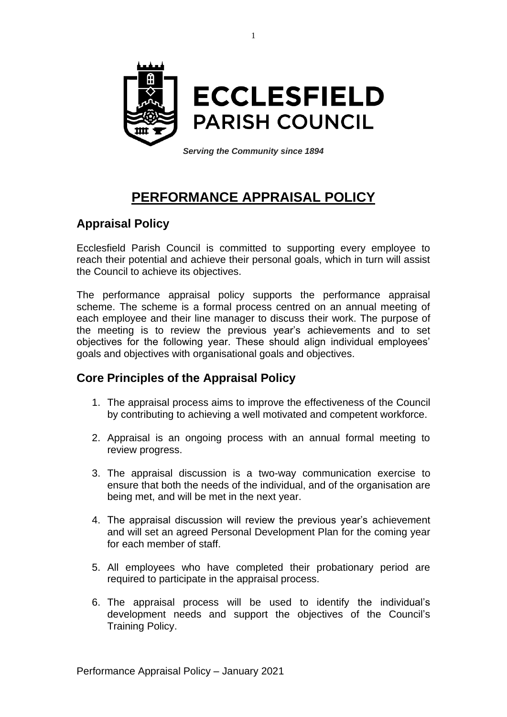

# **PERFORMANCE APPRAISAL POLICY**

# **Appraisal Policy**

Ecclesfield Parish Council is committed to supporting every employee to reach their potential and achieve their personal goals, which in turn will assist the Council to achieve its objectives.

The performance appraisal policy supports the performance appraisal scheme. The scheme is a formal process centred on an annual meeting of each employee and their line manager to discuss their work. The purpose of the meeting is to review the previous year's achievements and to set objectives for the following year. These should align individual employees' goals and objectives with organisational goals and objectives.

## **Core Principles of the Appraisal Policy**

- 1. The appraisal process aims to improve the effectiveness of the Council by contributing to achieving a well motivated and competent workforce.
- 2. Appraisal is an ongoing process with an annual formal meeting to review progress.
- 3. The appraisal discussion is a two-way communication exercise to ensure that both the needs of the individual, and of the organisation are being met, and will be met in the next year.
- 4. The appraisal discussion will review the previous year's achievement and will set an agreed Personal Development Plan for the coming year for each member of staff.
- 5. All employees who have completed their probationary period are required to participate in the appraisal process.
- 6. The appraisal process will be used to identify the individual's development needs and support the objectives of the Council's Training Policy.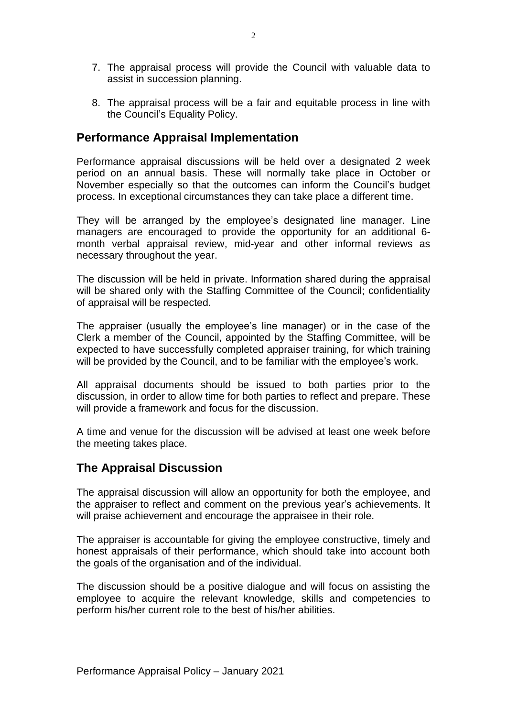- 7. The appraisal process will provide the Council with valuable data to assist in succession planning.
- 8. The appraisal process will be a fair and equitable process in line with the Council's Equality Policy.

### **Performance Appraisal Implementation**

Performance appraisal discussions will be held over a designated 2 week period on an annual basis. These will normally take place in October or November especially so that the outcomes can inform the Council's budget process. In exceptional circumstances they can take place a different time.

They will be arranged by the employee's designated line manager. Line managers are encouraged to provide the opportunity for an additional 6 month verbal appraisal review, mid-year and other informal reviews as necessary throughout the year.

The discussion will be held in private. Information shared during the appraisal will be shared only with the Staffing Committee of the Council; confidentiality of appraisal will be respected.

The appraiser (usually the employee's line manager) or in the case of the Clerk a member of the Council, appointed by the Staffing Committee, will be expected to have successfully completed appraiser training, for which training will be provided by the Council, and to be familiar with the employee's work.

All appraisal documents should be issued to both parties prior to the discussion, in order to allow time for both parties to reflect and prepare. These will provide a framework and focus for the discussion.

A time and venue for the discussion will be advised at least one week before the meeting takes place.

## **The Appraisal Discussion**

The appraisal discussion will allow an opportunity for both the employee, and the appraiser to reflect and comment on the previous year's achievements. It will praise achievement and encourage the appraisee in their role.

The appraiser is accountable for giving the employee constructive, timely and honest appraisals of their performance, which should take into account both the goals of the organisation and of the individual.

The discussion should be a positive dialogue and will focus on assisting the employee to acquire the relevant knowledge, skills and competencies to perform his/her current role to the best of his/her abilities.